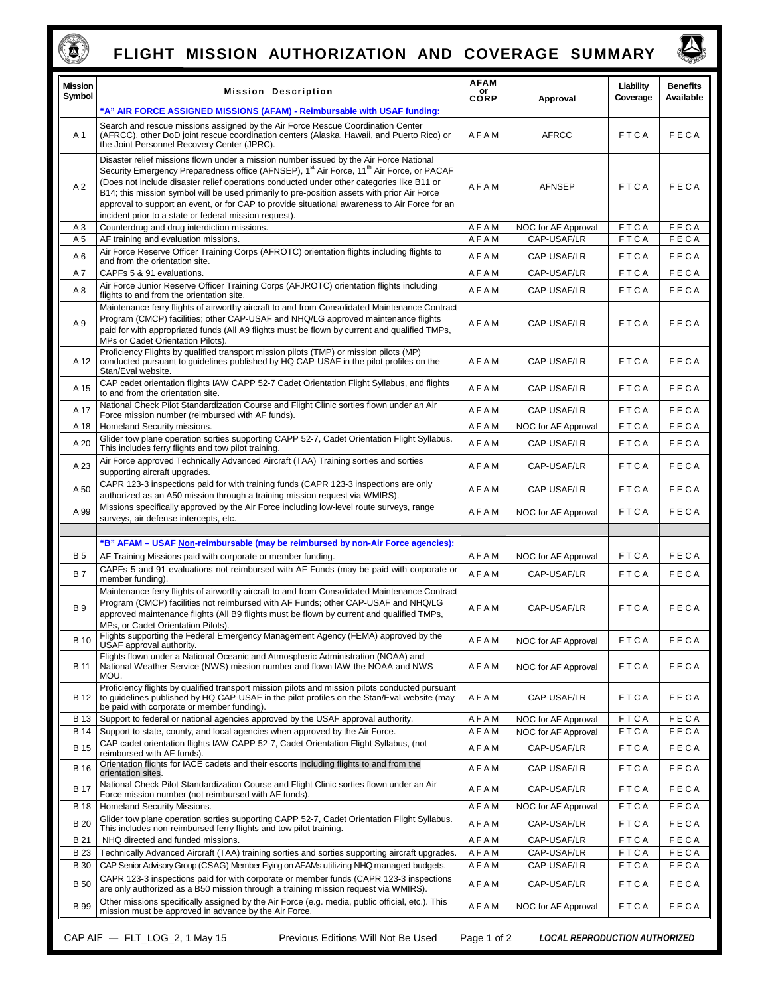

## **FLIGHT MISSION AUTHORIZATION AND COVERAGE SUMMARY**

 $\sum_{i=1}^{n}$ 

| <b>Mission</b><br>Symbol                                                                                                   | <b>Mission Description</b>                                                                                                                                                                                                                                                                                                                                                                                                                                                                                                                                        | AFAM<br>or<br>CORP | Approval            | Liability<br>Coverage | <b>Benefits</b><br>Available |  |  |
|----------------------------------------------------------------------------------------------------------------------------|-------------------------------------------------------------------------------------------------------------------------------------------------------------------------------------------------------------------------------------------------------------------------------------------------------------------------------------------------------------------------------------------------------------------------------------------------------------------------------------------------------------------------------------------------------------------|--------------------|---------------------|-----------------------|------------------------------|--|--|
|                                                                                                                            | "A" AIR FORCE ASSIGNED MISSIONS (AFAM) - Reimbursable with USAF funding:                                                                                                                                                                                                                                                                                                                                                                                                                                                                                          |                    |                     |                       |                              |  |  |
| A 1                                                                                                                        | Search and rescue missions assigned by the Air Force Rescue Coordination Center<br>(AFRCC), other DoD joint rescue coordination centers (Alaska, Hawaii, and Puerto Rico) or<br>the Joint Personnel Recovery Center (JPRC).                                                                                                                                                                                                                                                                                                                                       | AFAM               | <b>AFRCC</b>        | <b>FTCA</b>           | FECA                         |  |  |
| A <sub>2</sub>                                                                                                             | Disaster relief missions flown under a mission number issued by the Air Force National<br>Security Emergency Preparedness office (AFNSEP), 1 <sup>st</sup> Air Force, 11 <sup>th</sup> Air Force, or PACAF<br>(Does not include disaster relief operations conducted under other categories like B11 or<br>B14; this mission symbol will be used primarily to pre-position assets with prior Air Force<br>approval to support an event, or for CAP to provide situational awareness to Air Force for an<br>incident prior to a state or federal mission request). | AFAM               | <b>AFNSEP</b>       | <b>FTCA</b>           | FECA                         |  |  |
| AЗ                                                                                                                         | Counterdrug and drug interdiction missions.                                                                                                                                                                                                                                                                                                                                                                                                                                                                                                                       | AFAM               | NOC for AF Approval | <b>FTCA</b>           | FECA                         |  |  |
| A 5                                                                                                                        | AF training and evaluation missions.<br>Air Force Reserve Officer Training Corps (AFROTC) orientation flights including flights to                                                                                                                                                                                                                                                                                                                                                                                                                                | AFAM               | CAP-USAF/LR         | <b>FTCA</b>           | FECA                         |  |  |
| A6                                                                                                                         | and from the orientation site.                                                                                                                                                                                                                                                                                                                                                                                                                                                                                                                                    | AFAM               | CAP-USAF/LR         | <b>FTCA</b>           | FECA                         |  |  |
| A7                                                                                                                         | CAPFs 5 & 91 evaluations.<br>Air Force Junior Reserve Officer Training Corps (AFJROTC) orientation flights including                                                                                                                                                                                                                                                                                                                                                                                                                                              | AFAM               | CAP-USAF/LR         | FTCA                  | FECA                         |  |  |
| A8                                                                                                                         | flights to and from the orientation site.                                                                                                                                                                                                                                                                                                                                                                                                                                                                                                                         | AFAM               | CAP-USAF/LR         | <b>FTCA</b>           | FECA                         |  |  |
| A 9                                                                                                                        | Maintenance ferry flights of airworthy aircraft to and from Consolidated Maintenance Contract<br>Program (CMCP) facilities; other CAP-USAF and NHQ/LG approved maintenance flights<br>paid for with appropriated funds (All A9 flights must be flown by current and qualified TMPs,<br>MPs or Cadet Orientation Pilots).                                                                                                                                                                                                                                          | AFAM               | CAP-USAF/LR         | <b>FTCA</b>           | FECA                         |  |  |
| A 12                                                                                                                       | Proficiency Flights by qualified transport mission pilots (TMP) or mission pilots (MP)<br>conducted pursuant to guidelines published by HQ CAP-USAF in the pilot profiles on the<br>Stan/Eval website.                                                                                                                                                                                                                                                                                                                                                            | AFAM               | CAP-USAF/LR         | <b>FTCA</b>           | FECA                         |  |  |
| A 15                                                                                                                       | CAP cadet orientation flights IAW CAPP 52-7 Cadet Orientation Flight Syllabus, and flights<br>to and from the orientation site.                                                                                                                                                                                                                                                                                                                                                                                                                                   | AFAM               | CAP-USAF/LR         | <b>FTCA</b>           | FECA                         |  |  |
| A 17                                                                                                                       | National Check Pilot Standardization Course and Flight Clinic sorties flown under an Air<br>Force mission number (reimbursed with AF funds).                                                                                                                                                                                                                                                                                                                                                                                                                      | AFAM               | CAP-USAF/LR         | <b>FTCA</b>           | FECA                         |  |  |
| A 18                                                                                                                       | Homeland Security missions.                                                                                                                                                                                                                                                                                                                                                                                                                                                                                                                                       | AFAM               | NOC for AF Approval | FTCA                  | FECA                         |  |  |
| A 20                                                                                                                       | Glider tow plane operation sorties supporting CAPP 52-7, Cadet Orientation Flight Syllabus.<br>This includes ferry flights and tow pilot training.                                                                                                                                                                                                                                                                                                                                                                                                                | AFAM               | CAP-USAF/LR         | <b>FTCA</b>           | FECA                         |  |  |
| A 23                                                                                                                       | Air Force approved Technically Advanced Aircraft (TAA) Training sorties and sorties<br>supporting aircraft upgrades.                                                                                                                                                                                                                                                                                                                                                                                                                                              | AFAM               | CAP-USAF/LR         | FTCA                  | FECA                         |  |  |
| A 50                                                                                                                       | CAPR 123-3 inspections paid for with training funds (CAPR 123-3 inspections are only<br>authorized as an A50 mission through a training mission request via WMIRS).                                                                                                                                                                                                                                                                                                                                                                                               | AFAM               | CAP-USAF/LR         | <b>FTCA</b>           | FECA                         |  |  |
| A 99                                                                                                                       | Missions specifically approved by the Air Force including low-level route surveys, range<br>surveys, air defense intercepts, etc.                                                                                                                                                                                                                                                                                                                                                                                                                                 | AFAM               | NOC for AF Approval | <b>FTCA</b>           | FECA                         |  |  |
|                                                                                                                            | "B" AFAM - USAF Non-reimbursable (may be reimbursed by non-Air Force agencies):                                                                                                                                                                                                                                                                                                                                                                                                                                                                                   |                    |                     |                       |                              |  |  |
| <b>B5</b>                                                                                                                  | AF Training Missions paid with corporate or member funding.                                                                                                                                                                                                                                                                                                                                                                                                                                                                                                       | AFAM               | NOC for AF Approval | FTCA                  | FECA                         |  |  |
| <b>B7</b>                                                                                                                  | CAPFs 5 and 91 evaluations not reimbursed with AF Funds (may be paid with corporate or<br>member funding).                                                                                                                                                                                                                                                                                                                                                                                                                                                        | AFAM               | CAP-USAF/LR         | <b>FTCA</b>           | FECA                         |  |  |
| <b>B</b> <sub>9</sub>                                                                                                      | Maintenance ferry flights of airworthy aircraft to and from Consolidated Maintenance Contract<br>Program (CMCP) facilities not reimbursed with AF Funds; other CAP-USAF and NHQ/LG<br>approved maintenance flights (All B9 flights must be flown by current and qualified TMPs,<br>MPs, or Cadet Orientation Pilots).                                                                                                                                                                                                                                             | AFAM               | CAP-USAF/LR         | <b>FTCA</b>           | FECA                         |  |  |
| <b>B</b> 10                                                                                                                | Flights supporting the Federal Emergency Management Agency (FEMA) approved by the<br>USAF approval authority.                                                                                                                                                                                                                                                                                                                                                                                                                                                     | AFAM               | NOC for AF Approval | FTCA                  | FECA                         |  |  |
| <b>B</b> 11                                                                                                                | Flights flown under a National Oceanic and Atmospheric Administration (NOAA) and<br>National Weather Service (NWS) mission number and flown IAW the NOAA and NWS<br>MOU.                                                                                                                                                                                                                                                                                                                                                                                          | AFAM               | NOC for AF Approval | <b>FTCA</b>           | FECA                         |  |  |
| <b>B</b> 12                                                                                                                | Proficiency flights by qualified transport mission pilots and mission pilots conducted pursuant<br>to quidelines published by HQ CAP-USAF in the pilot profiles on the Stan/Eval website (may<br>be paid with corporate or member funding).                                                                                                                                                                                                                                                                                                                       | AFAM               | CAP-USAF/LR         | <b>FTCA</b>           | FECA                         |  |  |
| B 13                                                                                                                       | Support to federal or national agencies approved by the USAF approval authority.                                                                                                                                                                                                                                                                                                                                                                                                                                                                                  | AFAM               | NOC for AF Approval | FTCA                  | FECA                         |  |  |
| <b>B</b> 14<br><b>B</b> 15                                                                                                 | Support to state, county, and local agencies when approved by the Air Force.<br>CAP cadet orientation flights IAW CAPP 52-7, Cadet Orientation Flight Syllabus, (not                                                                                                                                                                                                                                                                                                                                                                                              | AFAM               | NOC for AF Approval | FTCA                  | FECA                         |  |  |
|                                                                                                                            | reimbursed with AF funds).<br>Orientation flights for IACE cadets and their escorts including flights to and from the                                                                                                                                                                                                                                                                                                                                                                                                                                             | AFAM               | CAP-USAF/LR         | FTCA                  | FECA                         |  |  |
| <b>B</b> 16                                                                                                                | orientation sites.<br>National Check Pilot Standardization Course and Flight Clinic sorties flown under an Air                                                                                                                                                                                                                                                                                                                                                                                                                                                    | AFAM               | CAP-USAF/LR         | FTCA                  | FECA                         |  |  |
| <b>B</b> 17                                                                                                                | Force mission number (not reimbursed with AF funds).                                                                                                                                                                                                                                                                                                                                                                                                                                                                                                              | AFAM               | CAP-USAF/LR         | <b>FTCA</b>           | FECA                         |  |  |
| <b>B</b> 18                                                                                                                | Homeland Security Missions.                                                                                                                                                                                                                                                                                                                                                                                                                                                                                                                                       | AFAM               | NOC for AF Approval | FTCA                  | FECA                         |  |  |
| <b>B</b> 20                                                                                                                | Glider tow plane operation sorties supporting CAPP 52-7, Cadet Orientation Flight Syllabus.<br>This includes non-reimbursed ferry flights and tow pilot training.                                                                                                                                                                                                                                                                                                                                                                                                 | AFAM               | CAP-USAF/LR         | FTCA                  | FECA                         |  |  |
| B 21                                                                                                                       | NHQ directed and funded missions.                                                                                                                                                                                                                                                                                                                                                                                                                                                                                                                                 | AFAM               | CAP-USAF/LR         | FTCA                  | FECA                         |  |  |
| <b>B23</b>                                                                                                                 | Technically Advanced Aircraft (TAA) training sorties and sorties supporting aircraft upgrades.                                                                                                                                                                                                                                                                                                                                                                                                                                                                    | AFAM               | CAP-USAF/LR         | FTCA                  | FECA                         |  |  |
| <b>B</b> 30                                                                                                                | CAP Senior Advisory Group (CSAG) Member Flying on AFAMs utilizing NHQ managed budgets.                                                                                                                                                                                                                                                                                                                                                                                                                                                                            | AFAM               | CAP-USAF/LR         | FTCA                  | FECA                         |  |  |
| <b>B</b> 50                                                                                                                | CAPR 123-3 inspections paid for with corporate or member funds (CAPR 123-3 inspections<br>are only authorized as a B50 mission through a training mission request via WMIRS).                                                                                                                                                                                                                                                                                                                                                                                     | AFAM               | CAP-USAF/LR         | FTCA                  | FECA                         |  |  |
| <b>B</b> 99                                                                                                                | Other missions specifically assigned by the Air Force (e.g. media, public official, etc.). This<br>mission must be approved in advance by the Air Force.                                                                                                                                                                                                                                                                                                                                                                                                          | AFAM               | NOC for AF Approval | FTCA                  | FECA                         |  |  |
| CAP AIF - FLT_LOG_2, 1 May 15<br>Previous Editions Will Not Be Used<br>Page 1 of 2<br><b>LOCAL REPRODUCTION AUTHORIZED</b> |                                                                                                                                                                                                                                                                                                                                                                                                                                                                                                                                                                   |                    |                     |                       |                              |  |  |